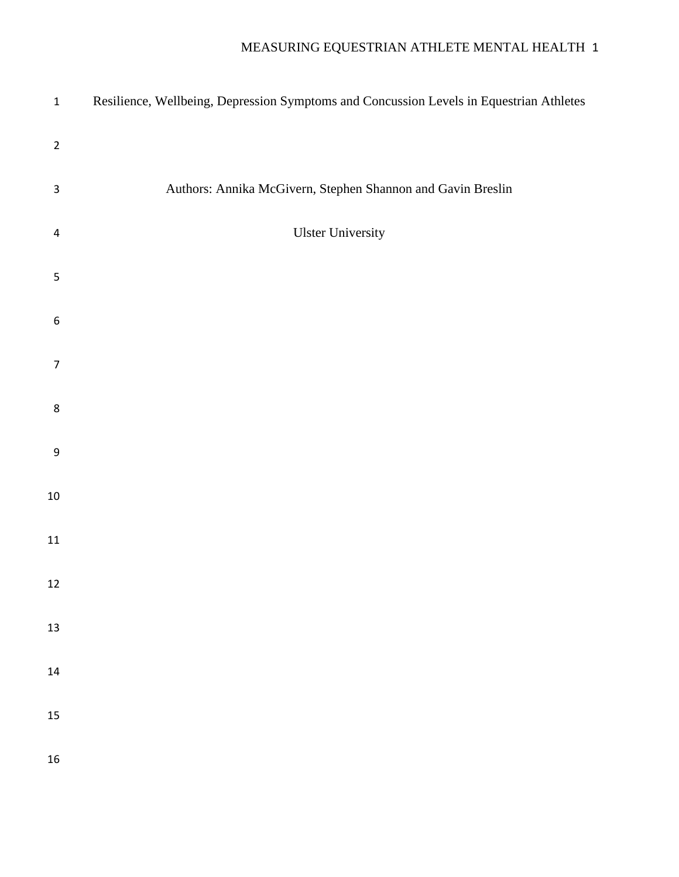| $\mathbf 1$      | Resilience, Wellbeing, Depression Symptoms and Concussion Levels in Equestrian Athletes |
|------------------|-----------------------------------------------------------------------------------------|
| $\overline{2}$   |                                                                                         |
| $\mathsf 3$      | Authors: Annika McGivern, Stephen Shannon and Gavin Breslin                             |
| $\overline{4}$   | <b>Ulster University</b>                                                                |
| 5                |                                                                                         |
| $\boldsymbol{6}$ |                                                                                         |
| $\overline{7}$   |                                                                                         |
| 8                |                                                                                         |
| $\boldsymbol{9}$ |                                                                                         |
| $10\,$           |                                                                                         |
| 11               |                                                                                         |
| 12               |                                                                                         |
| 13               |                                                                                         |
| 14               |                                                                                         |
| 15               |                                                                                         |
| 16               |                                                                                         |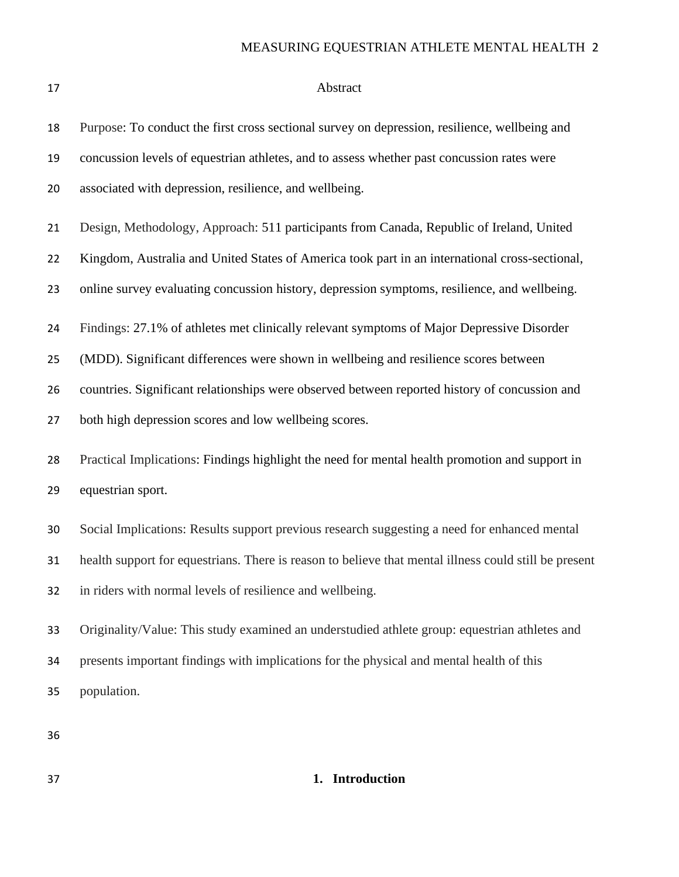### Abstract

| 18 | Purpose: To conduct the first cross sectional survey on depression, resilience, wellbeing and         |
|----|-------------------------------------------------------------------------------------------------------|
| 19 | concussion levels of equestrian athletes, and to assess whether past concussion rates were            |
| 20 | associated with depression, resilience, and wellbeing.                                                |
| 21 | Design, Methodology, Approach: 511 participants from Canada, Republic of Ireland, United              |
| 22 | Kingdom, Australia and United States of America took part in an international cross-sectional,        |
| 23 | online survey evaluating concussion history, depression symptoms, resilience, and wellbeing.          |
| 24 | Findings: 27.1% of athletes met clinically relevant symptoms of Major Depressive Disorder             |
| 25 | (MDD). Significant differences were shown in wellbeing and resilience scores between                  |
| 26 | countries. Significant relationships were observed between reported history of concussion and         |
| 27 | both high depression scores and low wellbeing scores.                                                 |
| 28 | Practical Implications: Findings highlight the need for mental health promotion and support in        |
| 29 | equestrian sport.                                                                                     |
| 30 | Social Implications: Results support previous research suggesting a need for enhanced mental          |
| 31 | health support for equestrians. There is reason to believe that mental illness could still be present |
| 32 | in riders with normal levels of resilience and wellbeing.                                             |
| 33 | Originality/Value: This study examined an understudied athlete group: equestrian athletes and         |
| 34 | presents important findings with implications for the physical and mental health of this              |
| 35 | population.                                                                                           |

## **1. Introduction**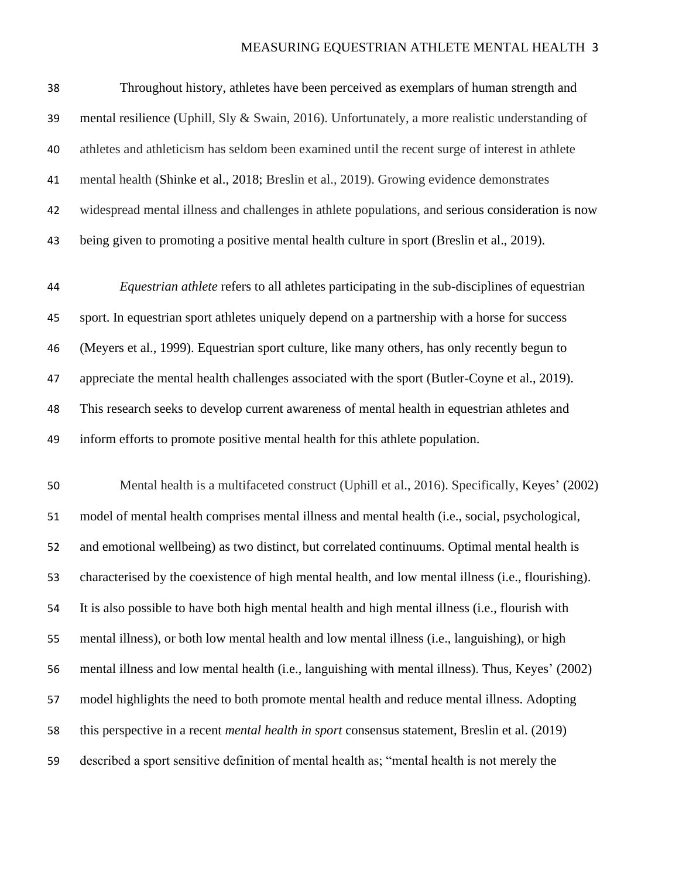| 38 | Throughout history, athletes have been perceived as exemplars of human strength and                   |
|----|-------------------------------------------------------------------------------------------------------|
| 39 | mental resilience (Uphill, Sly & Swain, 2016). Unfortunately, a more realistic understanding of       |
| 40 | athletes and athleticism has seldom been examined until the recent surge of interest in athlete       |
| 41 | mental health (Shinke et al., 2018; Breslin et al., 2019). Growing evidence demonstrates              |
| 42 | widespread mental illness and challenges in athlete populations, and serious consideration is now     |
| 43 | being given to promoting a positive mental health culture in sport (Breslin et al., 2019).            |
| 44 | <i>Equestrian athlete</i> refers to all athletes participating in the sub-disciplines of equestrian   |
| 45 | sport. In equestrian sport athletes uniquely depend on a partnership with a horse for success         |
| 46 | (Meyers et al., 1999). Equestrian sport culture, like many others, has only recently begun to         |
| 47 | appreciate the mental health challenges associated with the sport (Butler-Coyne et al., 2019).        |
| 48 | This research seeks to develop current awareness of mental health in equestrian athletes and          |
| 49 | inform efforts to promote positive mental health for this athlete population.                         |
| 50 | Mental health is a multifaceted construct (Uphill et al., 2016). Specifically, Keyes' (2002)          |
| 51 | model of mental health comprises mental illness and mental health (i.e., social, psychological,       |
| 52 | and emotional wellbeing) as two distinct, but correlated continuums. Optimal mental health is         |
| 53 |                                                                                                       |
|    | characterised by the coexistence of high mental health, and low mental illness (i.e., flourishing).   |
| 54 | It is also possible to have both high mental health and high mental illness (i.e., flourish with      |
| 55 | mental illness), or both low mental health and low mental illness (i.e., languishing), or high        |
| 56 | mental illness and low mental health (i.e., languishing with mental illness). Thus, Keyes' (2002)     |
| 57 | model highlights the need to both promote mental health and reduce mental illness. Adopting           |
| 58 | this perspective in a recent <i>mental health in sport</i> consensus statement, Breslin et al. (2019) |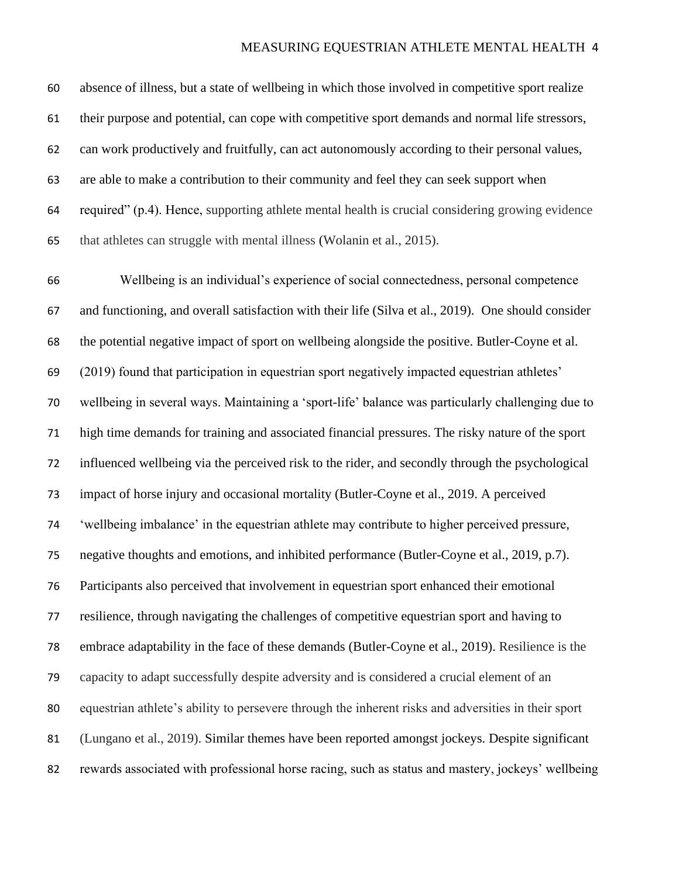absence of illness, but a state of wellbeing in which those involved in competitive sport realize their purpose and potential, can cope with competitive sport demands and normal life stressors, can work productively and fruitfully, can act autonomously according to their personal values, are able to make a contribution to their community and feel they can seek support when required" (p.4). Hence, supporting athlete mental health is crucial considering growing evidence that athletes can struggle with mental illness (Wolanin et al., 2015).

 Wellbeing is an individual's experience of social connectedness, personal competence and functioning, and overall satisfaction with their life (Silva et al., 2019). One should consider the potential negative impact of sport on wellbeing alongside the positive. Butler-Coyne et al. (2019) found that participation in equestrian sport negatively impacted equestrian athletes' wellbeing in several ways. Maintaining a 'sport-life' balance was particularly challenging due to high time demands for training and associated financial pressures. The risky nature of the sport influenced wellbeing via the perceived risk to the rider, and secondly through the psychological impact of horse injury and occasional mortality (Butler-Coyne et al., 2019. A perceived 'wellbeing imbalance' in the equestrian athlete may contribute to higher perceived pressure, negative thoughts and emotions, and inhibited performance (Butler-Coyne et al., 2019, p.7). Participants also perceived that involvement in equestrian sport enhanced their emotional resilience, through navigating the challenges of competitive equestrian sport and having to embrace adaptability in the face of these demands (Butler-Coyne et al., 2019). Resilience is the capacity to adapt successfully despite adversity and is considered a crucial element of an equestrian athlete's ability to persevere through the inherent risks and adversities in their sport (Lungano et al., 2019). Similar themes have been reported amongst jockeys. Despite significant rewards associated with professional horse racing, such as status and mastery, jockeys' wellbeing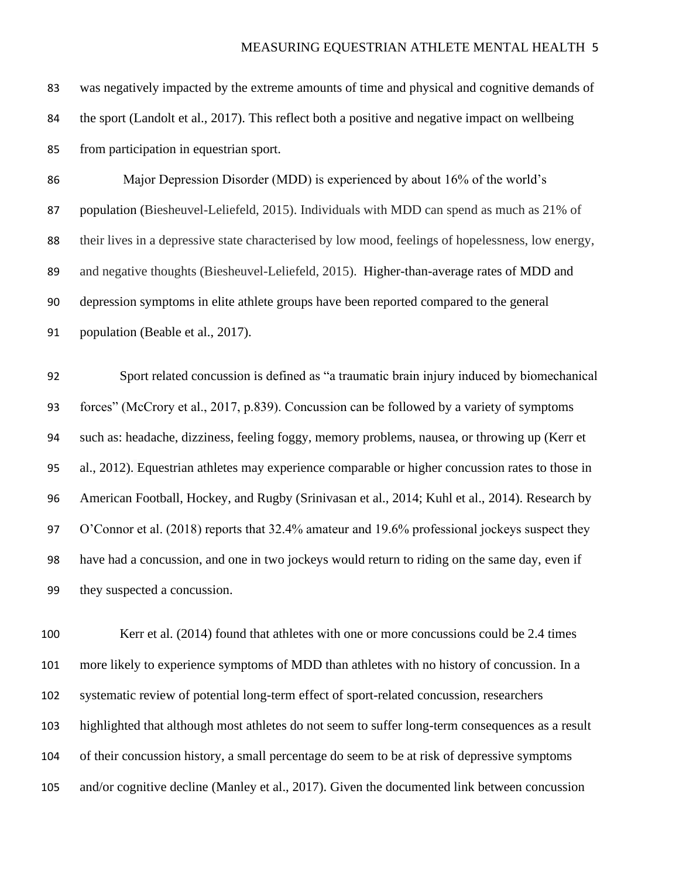| 83  | was negatively impacted by the extreme amounts of time and physical and cognitive demands of       |
|-----|----------------------------------------------------------------------------------------------------|
| 84  | the sport (Landolt et al., 2017). This reflect both a positive and negative impact on wellbeing    |
| 85  | from participation in equestrian sport.                                                            |
| 86  | Major Depression Disorder (MDD) is experienced by about 16% of the world's                         |
| 87  | population (Biesheuvel-Leliefeld, 2015). Individuals with MDD can spend as much as 21% of          |
| 88  | their lives in a depressive state characterised by low mood, feelings of hopelessness, low energy, |
| 89  | and negative thoughts (Biesheuvel-Leliefeld, 2015). Higher-than-average rates of MDD and           |
| 90  | depression symptoms in elite athlete groups have been reported compared to the general             |
| 91  | population (Beable et al., 2017).                                                                  |
|     | Sport related concussion is defined as "a traumatic brain injury induced by biomechanical          |
| 92  |                                                                                                    |
| 93  | forces" (McCrory et al., 2017, p.839). Concussion can be followed by a variety of symptoms         |
| 94  | such as: headache, dizziness, feeling foggy, memory problems, nausea, or throwing up (Kerr et      |
| 95  | al., 2012). Equestrian athletes may experience comparable or higher concussion rates to those in   |
| 96  | American Football, Hockey, and Rugby (Srinivasan et al., 2014; Kuhl et al., 2014). Research by     |
| 97  | O'Connor et al. (2018) reports that 32.4% amateur and 19.6% professional jockeys suspect they      |
| 98  | have had a concussion, and one in two jockeys would return to riding on the same day, even if      |
| 99  | they suspected a concussion.                                                                       |
|     |                                                                                                    |
| 100 | Kerr et al. (2014) found that athletes with one or more concussions could be 2.4 times             |
| 101 | more likely to experience symptoms of MDD than athletes with no history of concussion. In a        |
| 102 | systematic review of potential long-term effect of sport-related concussion, researchers           |

highlighted that although most athletes do not seem to suffer long-term consequences as a result

of their concussion history, a small percentage do seem to be at risk of depressive symptoms

and/or cognitive decline (Manley et al., 2017). Given the documented link between concussion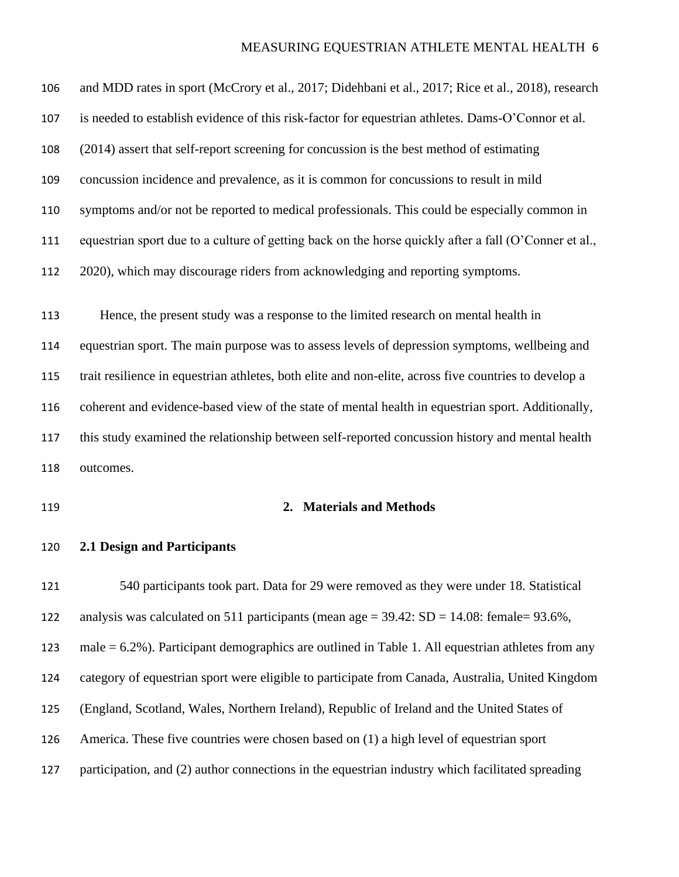and MDD rates in sport (McCrory et al., 2017; Didehbani et al., 2017; Rice et al., 2018), research is needed to establish evidence of this risk-factor for equestrian athletes. Dams-O'Connor et al. (2014) assert that self-report screening for concussion is the best method of estimating concussion incidence and prevalence, as it is common for concussions to result in mild symptoms and/or not be reported to medical professionals. This could be especially common in equestrian sport due to a culture of getting back on the horse quickly after a fall (O'Conner et al., 2020), which may discourage riders from acknowledging and reporting symptoms. Hence, the present study was a response to the limited research on mental health in equestrian sport. The main purpose was to assess levels of depression symptoms, wellbeing and trait resilience in equestrian athletes, both elite and non-elite, across five countries to develop a coherent and evidence-based view of the state of mental health in equestrian sport. Additionally, this study examined the relationship between self-reported concussion history and mental health outcomes.

#### **2. Materials and Methods**

**2.1 Design and Participants**

 540 participants took part. Data for 29 were removed as they were under 18. Statistical analysis was calculated on 511 participants (mean age = 39.42: SD = 14.08: female= 93.6%, male = 6.2%). Participant demographics are outlined in Table 1. All equestrian athletes from any category of equestrian sport were eligible to participate from Canada, Australia, United Kingdom (England, Scotland, Wales, Northern Ireland), Republic of Ireland and the United States of America. These five countries were chosen based on (1) a high level of equestrian sport participation, and (2) author connections in the equestrian industry which facilitated spreading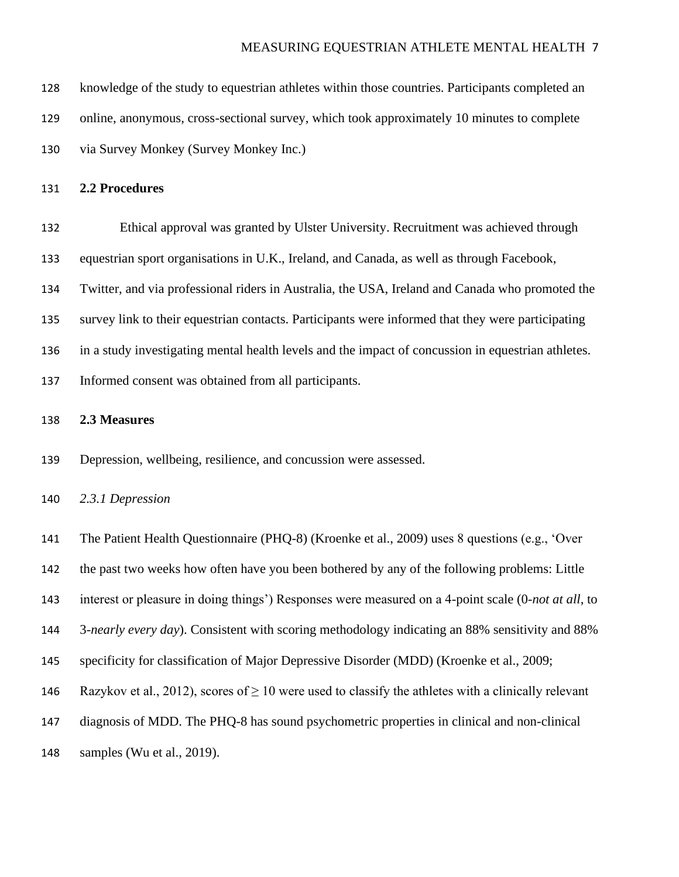knowledge of the study to equestrian athletes within those countries. Participants completed an online, anonymous, cross-sectional survey, which took approximately 10 minutes to complete via Survey Monkey (Survey Monkey Inc.)

#### **2.2 Procedures**

 Ethical approval was granted by Ulster University. Recruitment was achieved through equestrian sport organisations in U.K., Ireland, and Canada, as well as through Facebook, Twitter, and via professional riders in Australia, the USA, Ireland and Canada who promoted the survey link to their equestrian contacts. Participants were informed that they were participating in a study investigating mental health levels and the impact of concussion in equestrian athletes. Informed consent was obtained from all participants.

#### **2.3 Measures**

Depression, wellbeing, resilience, and concussion were assessed.

*2.3.1 Depression* 

 The Patient Health Questionnaire (PHQ-8) (Kroenke et al., 2009) uses 8 questions (e.g., 'Over the past two weeks how often have you been bothered by any of the following problems: Little interest or pleasure in doing things') Responses were measured on a 4-point scale (0-*not at all*, to 3-*nearly every day*). Consistent with scoring methodology indicating an 88% sensitivity and 88% specificity for classification of Major Depressive Disorder (MDD) (Kroenke et al., 2009;

146 Razykov et al., 2012), scores of  $\geq 10$  were used to classify the athletes with a clinically relevant

- diagnosis of MDD. The PHQ-8 has sound psychometric properties in clinical and non-clinical
- samples (Wu et al., 2019).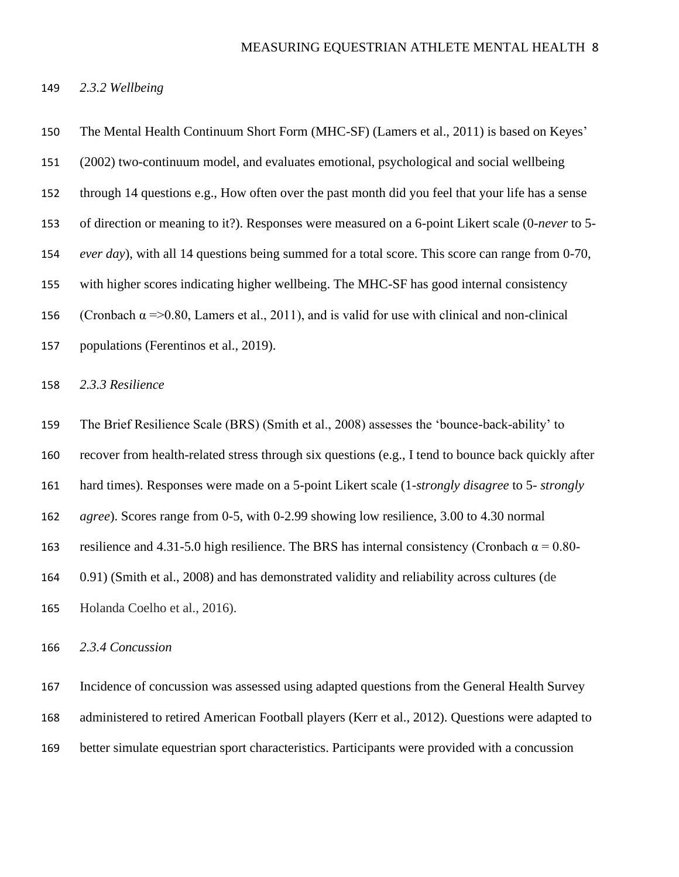*2.3.2 Wellbeing*

 The Mental Health Continuum Short Form (MHC-SF) (Lamers et al., 2011) is based on Keyes' (2002) two-continuum model, and evaluates emotional, psychological and social wellbeing through 14 questions e.g., How often over the past month did you feel that your life has a sense of direction or meaning to it?). Responses were measured on a 6-point Likert scale (0-*never* to 5- *ever day*), with all 14 questions being summed for a total score. This score can range from 0-70, with higher scores indicating higher wellbeing. The MHC-SF has good internal consistency 156 (Cronbach  $\alpha$  =>0.80, Lamers et al., 2011), and is valid for use with clinical and non-clinical populations (Ferentinos et al., 2019). *2.3.3 Resilience* The Brief Resilience Scale (BRS) (Smith et al., 2008) assesses the 'bounce-back-ability' to recover from health-related stress through six questions (e.g., I tend to bounce back quickly after hard times). Responses were made on a 5-point Likert scale (1-*strongly disagree* to 5- *strongly agree*). Scores range from 0-5, with 0-2.99 showing low resilience, 3.00 to 4.30 normal 163 resilience and 4.31-5.0 high resilience. The BRS has internal consistency (Cronbach  $\alpha = 0.80$ -

0.91) (Smith et al., 2008) and has demonstrated validity and reliability across cultures (de

Holanda Coelho et al., 2016).

*2.3.4 Concussion*

 Incidence of concussion was assessed using adapted questions from the General Health Survey administered to retired American Football players (Kerr et al., 2012). Questions were adapted to better simulate equestrian sport characteristics. Participants were provided with a concussion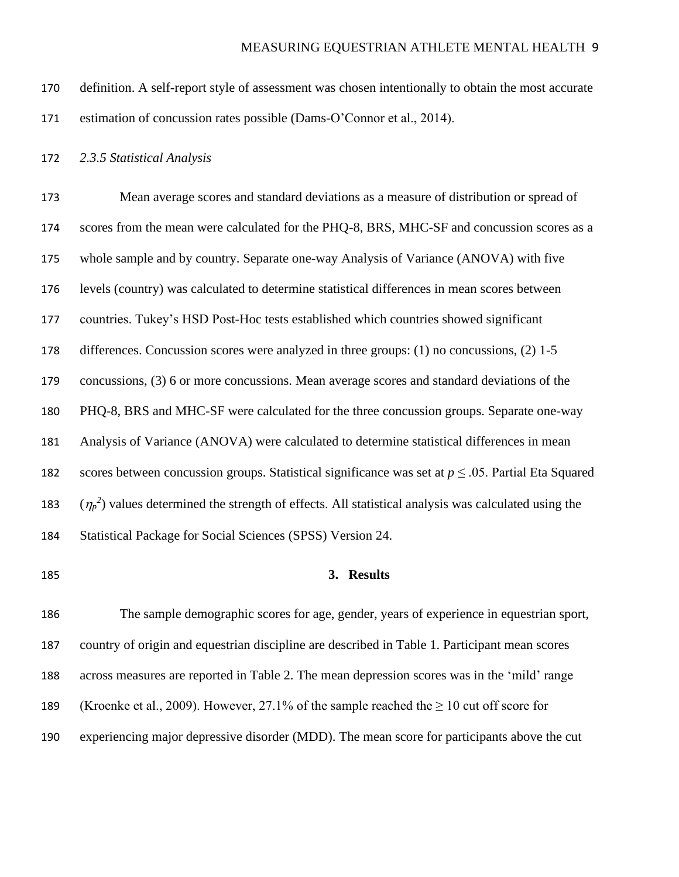- definition. A self-report style of assessment was chosen intentionally to obtain the most accurate estimation of concussion rates possible (Dams-O'Connor et al., 2014).
- *2.3.5 Statistical Analysis*

 Mean average scores and standard deviations as a measure of distribution or spread of 174 scores from the mean were calculated for the PHO-8, BRS, MHC-SF and concussion scores as a whole sample and by country. Separate one-way Analysis of Variance (ANOVA) with five levels (country) was calculated to determine statistical differences in mean scores between countries. Tukey's HSD Post-Hoc tests established which countries showed significant differences. Concussion scores were analyzed in three groups: (1) no concussions, (2) 1-5 concussions, (3) 6 or more concussions. Mean average scores and standard deviations of the PHQ-8, BRS and MHC-SF were calculated for the three concussion groups. Separate one-way Analysis of Variance (ANOVA) were calculated to determine statistical differences in mean 182 scores between concussion groups. Statistical significance was set at  $p \leq 0.05$ . Partial Eta Squared  $(\eta_p^2)$  values determined the strength of effects. All statistical analysis was calculated using the Statistical Package for Social Sciences (SPSS) Version 24.

#### **3. Results**

 The sample demographic scores for age, gender, years of experience in equestrian sport, country of origin and equestrian discipline are described in Table 1. Participant mean scores across measures are reported in Table 2. The mean depression scores was in the 'mild' range 189 (Kroenke et al., 2009). However, 27.1% of the sample reached the  $\geq 10$  cut off score for experiencing major depressive disorder (MDD). The mean score for participants above the cut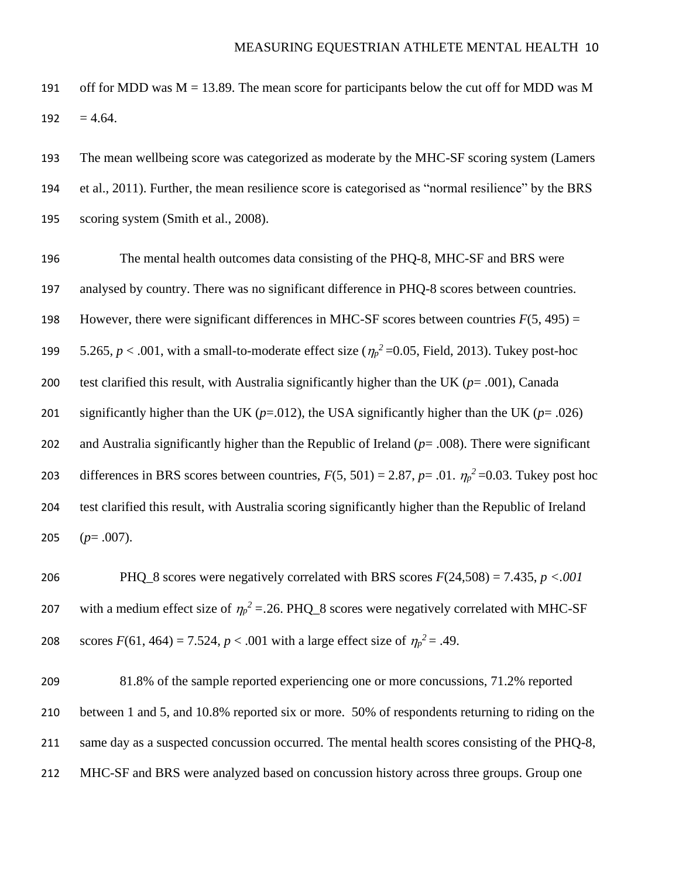191 off for MDD was  $M = 13.89$ . The mean score for participants below the cut off for MDD was M 192  $= 4.64$ .

193 The mean wellbeing score was categorized as moderate by the MHC-SF scoring system (Lamers 194 et al., 2011). Further, the mean resilience score is categorised as "normal resilience" by the BRS 195 scoring system (Smith et al., 2008).

 The mental health outcomes data consisting of the PHQ-8, MHC-SF and BRS were analysed by country. There was no significant difference in PHQ-8 scores between countries. 198 However, there were significant differences in MHC-SF scores between countries  $F(5, 495) =$  $5.265, p < .001$ , with a small-to-moderate effect size ( $\eta_p^2$  =0.05, Field, 2013). Tukey post-hoc test clarified this result, with Australia significantly higher than the UK (*p*= .001), Canada 201 significantly higher than the UK ( $p = .012$ ), the USA significantly higher than the UK ( $p = .026$ ) and Australia significantly higher than the Republic of Ireland (*p*= .008). There were significant differences in BRS scores between countries,  $F(5, 501) = 2.87$ ,  $p = .01$ .  $\eta_p^2 = 0.03$ . Tukey post hoc test clarified this result, with Australia scoring significantly higher than the Republic of Ireland  $(p=.007)$ .

206 PHQ\_8 scores were negatively correlated with BRS scores *F*(24,508) = 7.435, *p <.001*  207 with a medium effect size of  $\eta_p^2 = 0.26$ . PHQ\_8 scores were negatively correlated with MHC-SF scores  $F(61, 464) = 7.524$ ,  $p < .001$  with a large effect size of  $\eta_p^2 = .49$ .

 81.8% of the sample reported experiencing one or more concussions, 71.2% reported between 1 and 5, and 10.8% reported six or more. 50% of respondents returning to riding on the 211 same day as a suspected concussion occurred. The mental health scores consisting of the PHQ-8, MHC-SF and BRS were analyzed based on concussion history across three groups. Group one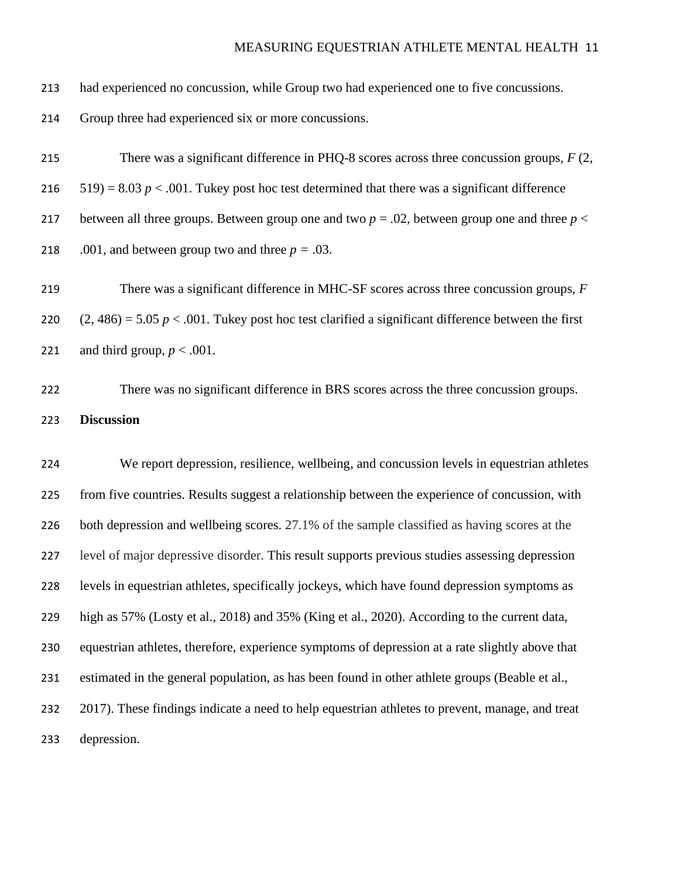| 214 | Group three had experienced six or more concussions.                                                  |
|-----|-------------------------------------------------------------------------------------------------------|
| 215 | There was a significant difference in PHQ-8 scores across three concussion groups, $F(2, 1)$          |
| 216 | $(519) = 8.03 p < .001$ . Tukey post hoc test determined that there was a significant difference      |
| 217 | between all three groups. Between group one and two $p = 0.02$ , between group one and three $p <$    |
| 218 | .001, and between group two and three $p = .03$ .                                                     |
| 219 | There was a significant difference in MHC-SF scores across three concussion groups, F                 |
| 220 | $(2, 486) = 5.05 p < .001$ . Tukey post hoc test clarified a significant difference between the first |
| 221 | and third group, $p < .001$ .                                                                         |
| 222 | There was no significant difference in BRS scores across the three concussion groups.                 |
| 223 | <b>Discussion</b>                                                                                     |
|     |                                                                                                       |
| 224 | We report depression, resilience, wellbeing, and concussion levels in equestrian athletes             |
| 225 | from five countries. Results suggest a relationship between the experience of concussion, with        |
| 226 | both depression and wellbeing scores. 27.1% of the sample classified as having scores at the          |
| 227 | level of major depressive disorder. This result supports previous studies assessing depression        |
| 228 | levels in equestrian athletes, specifically jockeys, which have found depression symptoms as          |
| 229 | high as 57% (Losty et al., 2018) and 35% (King et al., 2020). According to the current data,          |
| 230 | equestrian athletes, therefore, experience symptoms of depression at a rate slightly above that       |
| 231 | estimated in the general population, as has been found in other athlete groups (Beable et al.,        |
| 232 | 2017). These findings indicate a need to help equestrian athletes to prevent, manage, and treat       |

had experienced no concussion, while Group two had experienced one to five concussions.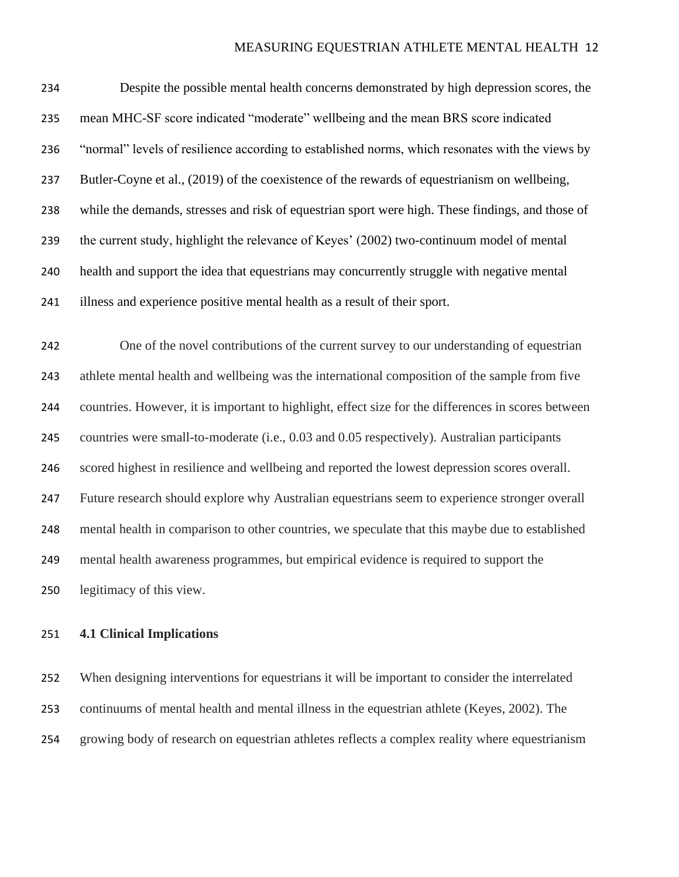Despite the possible mental health concerns demonstrated by high depression scores, the mean MHC-SF score indicated "moderate" wellbeing and the mean BRS score indicated "normal" levels of resilience according to established norms, which resonates with the views by Butler-Coyne et al., (2019) of the coexistence of the rewards of equestrianism on wellbeing, while the demands, stresses and risk of equestrian sport were high. These findings, and those of the current study, highlight the relevance of Keyes' (2002) two-continuum model of mental health and support the idea that equestrians may concurrently struggle with negative mental illness and experience positive mental health as a result of their sport.

 One of the novel contributions of the current survey to our understanding of equestrian athlete mental health and wellbeing was the international composition of the sample from five countries. However, it is important to highlight, effect size for the differences in scores between countries were small-to-moderate (i.e., 0.03 and 0.05 respectively). Australian participants scored highest in resilience and wellbeing and reported the lowest depression scores overall. Future research should explore why Australian equestrians seem to experience stronger overall mental health in comparison to other countries, we speculate that this maybe due to established mental health awareness programmes, but empirical evidence is required to support the legitimacy of this view.

#### **4.1 Clinical Implications**

 When designing interventions for equestrians it will be important to consider the interrelated continuums of mental health and mental illness in the equestrian athlete (Keyes, 2002). The growing body of research on equestrian athletes reflects a complex reality where equestrianism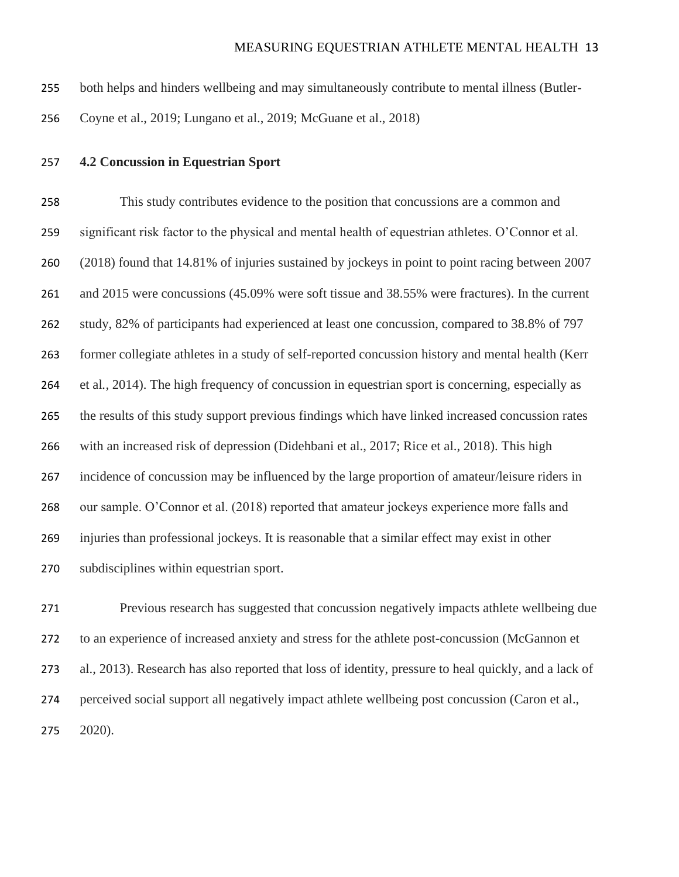- both helps and hinders wellbeing and may simultaneously contribute to mental illness (Butler-
- Coyne et al., 2019; Lungano et al., 2019; McGuane et al., 2018)
- **4.2 Concussion in Equestrian Sport**

 This study contributes evidence to the position that concussions are a common and significant risk factor to the physical and mental health of equestrian athletes. O'Connor et al. (2018) found that 14.81% of injuries sustained by jockeys in point to point racing between 2007 and 2015 were concussions (45.09% were soft tissue and 38.55% were fractures). In the current study, 82% of participants had experienced at least one concussion, compared to 38.8% of 797 former collegiate athletes in a study of self-reported concussion history and mental health (Kerr et al*.,* 2014). The high frequency of concussion in equestrian sport is concerning, especially as the results of this study support previous findings which have linked increased concussion rates with an increased risk of depression (Didehbani et al., 2017; Rice et al., 2018). This high incidence of concussion may be influenced by the large proportion of amateur/leisure riders in our sample. O'Connor et al. (2018) reported that amateur jockeys experience more falls and injuries than professional jockeys. It is reasonable that a similar effect may exist in other subdisciplines within equestrian sport.

 Previous research has suggested that concussion negatively impacts athlete wellbeing due to an experience of increased anxiety and stress for the athlete post-concussion (McGannon et al., 2013). Research has also reported that loss of identity, pressure to heal quickly, and a lack of perceived social support all negatively impact athlete wellbeing post concussion (Caron et al., 2020).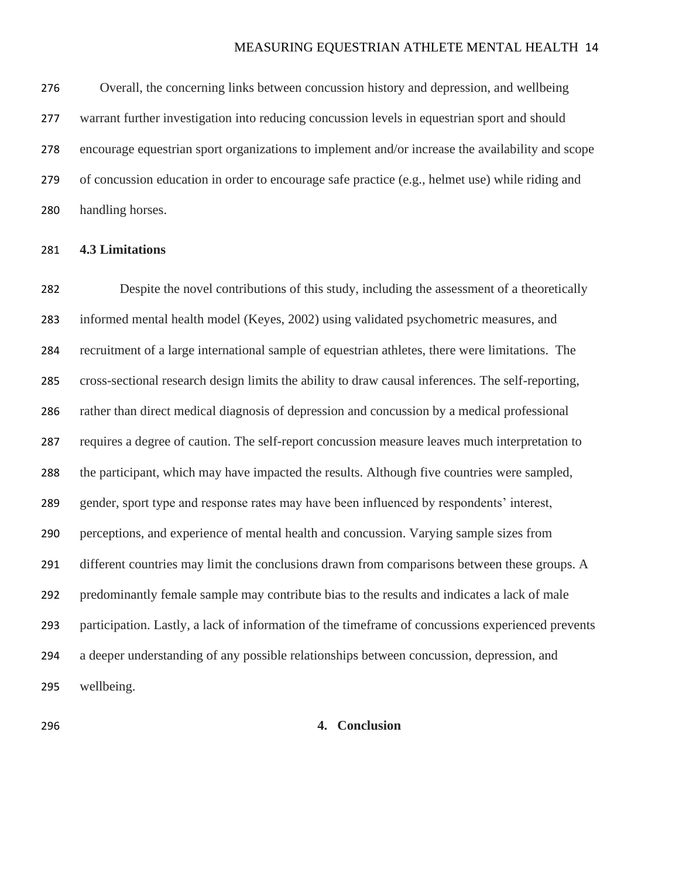Overall, the concerning links between concussion history and depression, and wellbeing warrant further investigation into reducing concussion levels in equestrian sport and should encourage equestrian sport organizations to implement and/or increase the availability and scope of concussion education in order to encourage safe practice (e.g., helmet use) while riding and handling horses.

#### **4.3 Limitations**

 Despite the novel contributions of this study, including the assessment of a theoretically informed mental health model (Keyes, 2002) using validated psychometric measures, and recruitment of a large international sample of equestrian athletes, there were limitations. The cross-sectional research design limits the ability to draw causal inferences. The self-reporting, rather than direct medical diagnosis of depression and concussion by a medical professional requires a degree of caution. The self-report concussion measure leaves much interpretation to the participant, which may have impacted the results. Although five countries were sampled, gender, sport type and response rates may have been influenced by respondents' interest, perceptions, and experience of mental health and concussion. Varying sample sizes from 291 different countries may limit the conclusions drawn from comparisons between these groups. A predominantly female sample may contribute bias to the results and indicates a lack of male participation. Lastly, a lack of information of the timeframe of concussions experienced prevents a deeper understanding of any possible relationships between concussion, depression, and wellbeing.

#### **4. Conclusion**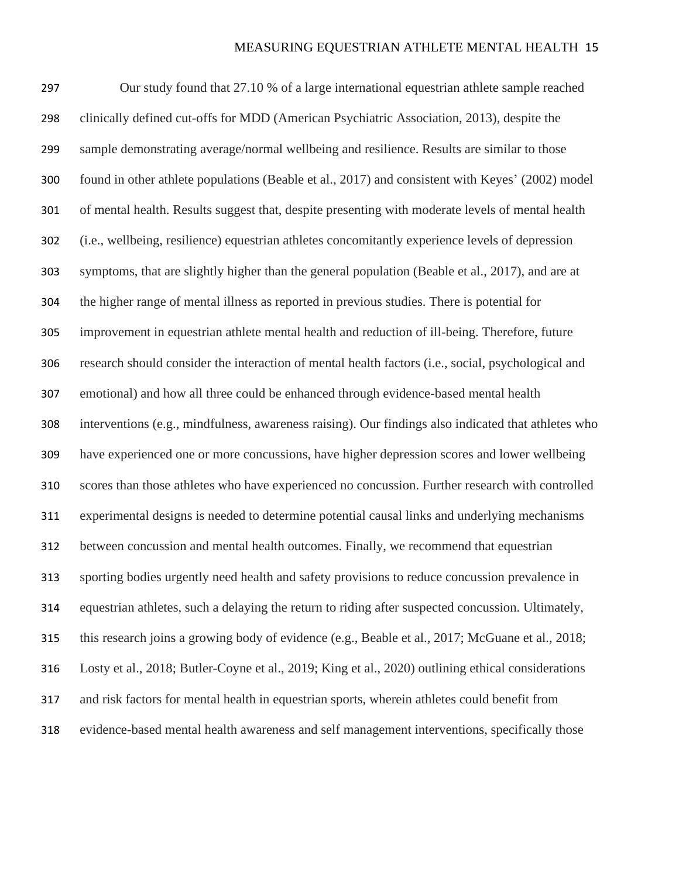Our study found that 27.10 % of a large international equestrian athlete sample reached clinically defined cut-offs for MDD (American Psychiatric Association, 2013), despite the sample demonstrating average/normal wellbeing and resilience. Results are similar to those found in other athlete populations (Beable et al., 2017) and consistent with Keyes' (2002) model of mental health. Results suggest that, despite presenting with moderate levels of mental health (i.e., wellbeing, resilience) equestrian athletes concomitantly experience levels of depression symptoms, that are slightly higher than the general population (Beable et al., 2017), and are at the higher range of mental illness as reported in previous studies. There is potential for improvement in equestrian athlete mental health and reduction of ill-being. Therefore, future research should consider the interaction of mental health factors (i.e., social, psychological and emotional) and how all three could be enhanced through evidence-based mental health interventions (e.g., mindfulness, awareness raising). Our findings also indicated that athletes who have experienced one or more concussions, have higher depression scores and lower wellbeing scores than those athletes who have experienced no concussion. Further research with controlled experimental designs is needed to determine potential causal links and underlying mechanisms between concussion and mental health outcomes. Finally, we recommend that equestrian sporting bodies urgently need health and safety provisions to reduce concussion prevalence in equestrian athletes, such a delaying the return to riding after suspected concussion. Ultimately, this research joins a growing body of evidence (e.g., Beable et al., 2017; McGuane et al., 2018; Losty et al., 2018; Butler-Coyne et al., 2019; King et al., 2020) outlining ethical considerations and risk factors for mental health in equestrian sports, wherein athletes could benefit from evidence-based mental health awareness and self management interventions, specifically those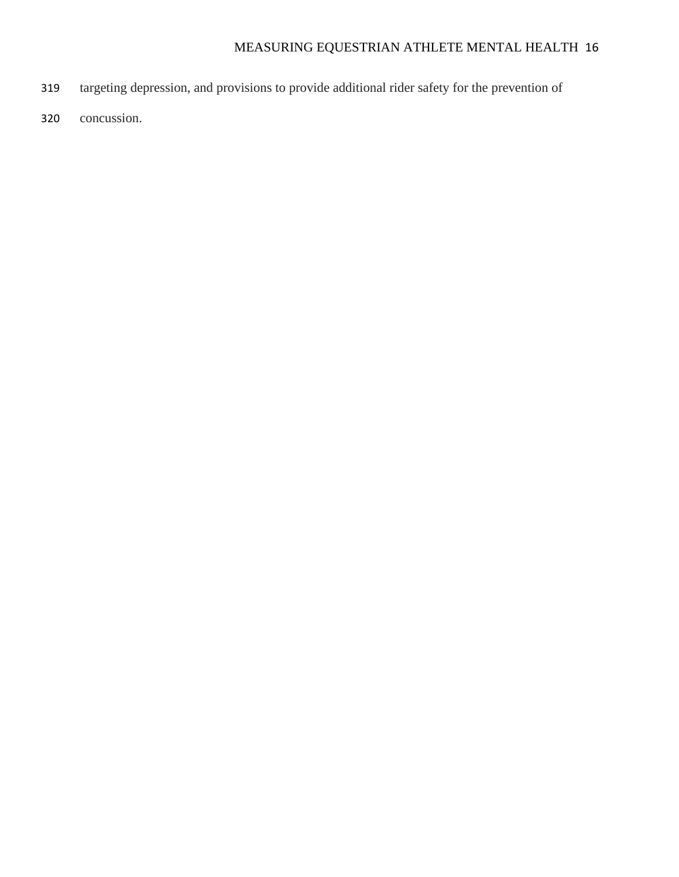- targeting depression, and provisions to provide additional rider safety for the prevention of
- concussion.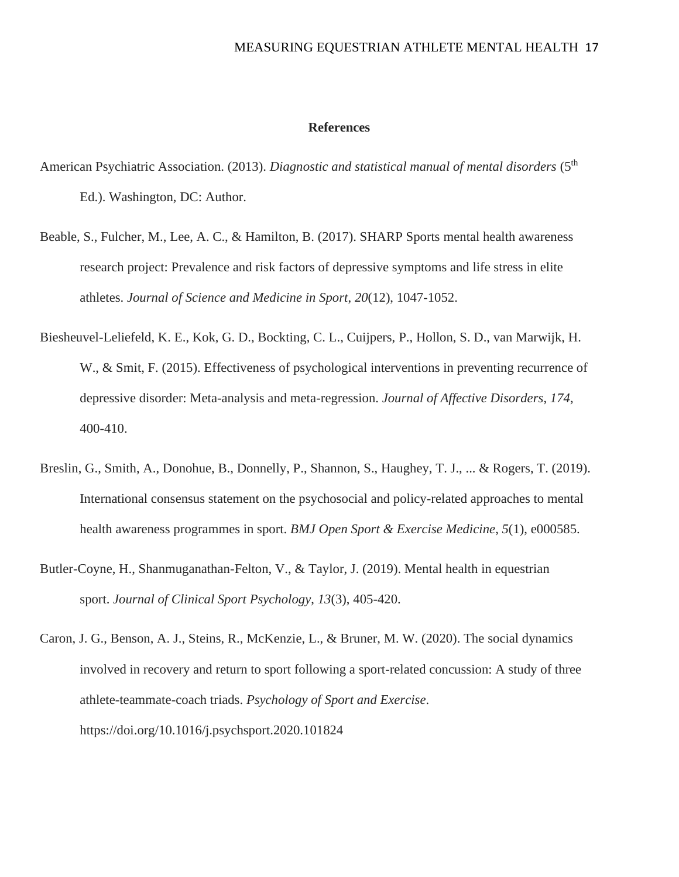#### **References**

- American Psychiatric Association. (2013). *Diagnostic and statistical manual of mental disorders* (5<sup>th</sup>) Ed.). Washington, DC: Author.
- Beable, S., Fulcher, M., Lee, A. C., & Hamilton, B. (2017). SHARP Sports mental health awareness research project: Prevalence and risk factors of depressive symptoms and life stress in elite athletes. *Journal of Science and Medicine in Sport*, *20*(12), 1047-1052.
- Biesheuvel-Leliefeld, K. E., Kok, G. D., Bockting, C. L., Cuijpers, P., Hollon, S. D., van Marwijk, H. W., & Smit, F. (2015). Effectiveness of psychological interventions in preventing recurrence of depressive disorder: Meta-analysis and meta-regression. *Journal of Affective Disorders*, *174*, 400-410.
- Breslin, G., Smith, A., Donohue, B., Donnelly, P., Shannon, S., Haughey, T. J., ... & Rogers, T. (2019). International consensus statement on the psychosocial and policy-related approaches to mental health awareness programmes in sport. *BMJ Open Sport & Exercise Medicine*, *5*(1), e000585.
- Butler-Coyne, H., Shanmuganathan-Felton, V., & Taylor, J. (2019). Mental health in equestrian sport. *Journal of Clinical Sport Psychology*, *13*(3), 405-420.
- Caron, J. G., Benson, A. J., Steins, R., McKenzie, L., & Bruner, M. W. (2020). The social dynamics involved in recovery and return to sport following a sport-related concussion: A study of three athlete-teammate-coach triads. *Psychology of Sport and Exercise*. https://doi.org/10.1016/j.psychsport.2020.101824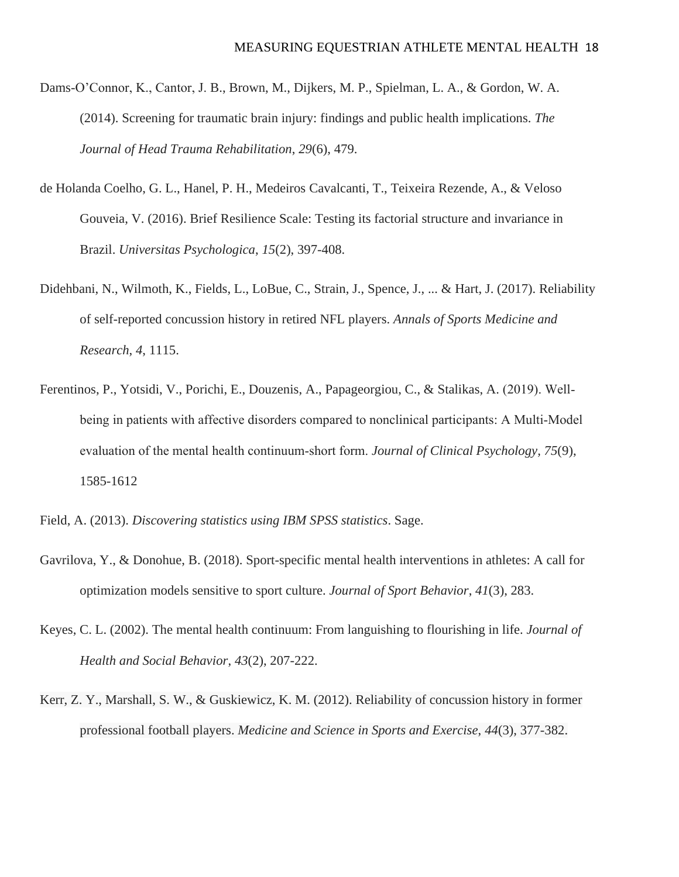- Dams-O'Connor, K., Cantor, J. B., Brown, M., Dijkers, M. P., Spielman, L. A., & Gordon, W. A. (2014). Screening for traumatic brain injury: findings and public health implications. *The Journal of Head Trauma Rehabilitation*, *29*(6), 479.
- de Holanda Coelho, G. L., Hanel, P. H., Medeiros Cavalcanti, T., Teixeira Rezende, A., & Veloso Gouveia, V. (2016). Brief Resilience Scale: Testing its factorial structure and invariance in Brazil. *Universitas Psychologica*, *15*(2), 397-408.
- Didehbani, N., Wilmoth, K., Fields, L., LoBue, C., Strain, J., Spence, J., ... & Hart, J. (2017). Reliability of self-reported concussion history in retired NFL players. *Annals of Sports Medicine and Research*, *4*, 1115.
- Ferentinos, P., Yotsidi, V., Porichi, E., Douzenis, A., Papageorgiou, C., & Stalikas, A. (2019). Well‐ being in patients with affective disorders compared to nonclinical participants: A Multi-Model evaluation of the mental health continuum‐short form. *Journal of Clinical Psychology, 75*(9), 1585-1612
- Field, A. (2013). *Discovering statistics using IBM SPSS statistics*. Sage.
- Gavrilova, Y., & Donohue, B. (2018). Sport-specific mental health interventions in athletes: A call for optimization models sensitive to sport culture. *Journal of Sport Behavior*, *41*(3), 283.
- Keyes, C. L. (2002). The mental health continuum: From languishing to flourishing in life. *Journal of Health and Social Behavior*, *43*(2), 207-222.
- Kerr, Z. Y., Marshall, S. W., & Guskiewicz, K. M. (2012). Reliability of concussion history in former professional football players. *Medicine and Science in Sports and Exercise*, *44*(3), 377-382.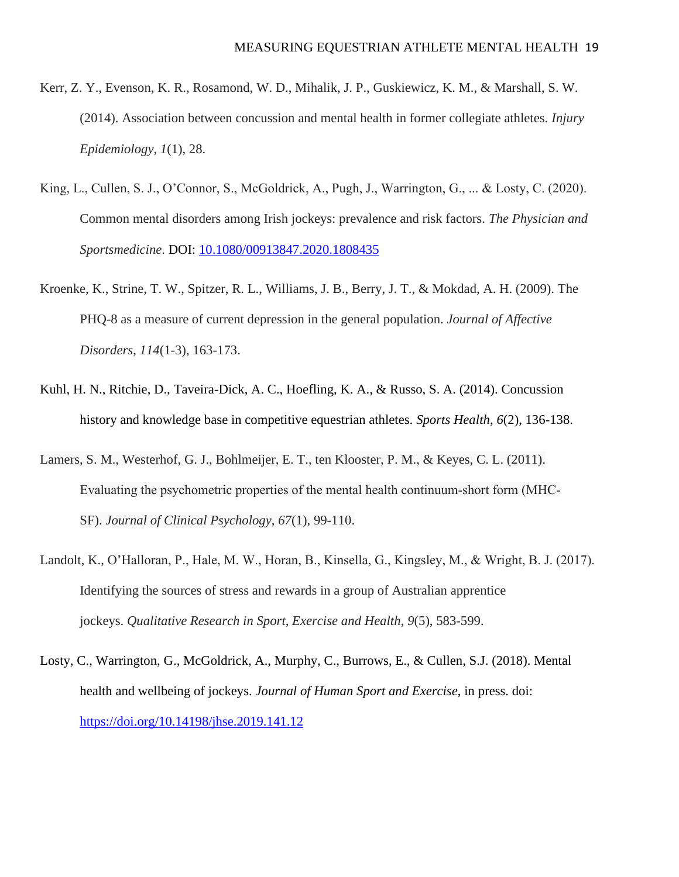- Kerr, Z. Y., Evenson, K. R., Rosamond, W. D., Mihalik, J. P., Guskiewicz, K. M., & Marshall, S. W. (2014). Association between concussion and mental health in former collegiate athletes. *Injury Epidemiology*, *1*(1), 28.
- King, L., Cullen, S. J., O'Connor, S., McGoldrick, A., Pugh, J., Warrington, G., ... & Losty, C. (2020). Common mental disorders among Irish jockeys: prevalence and risk factors. *The Physician and Sportsmedicine*. DOI: [10.1080/00913847.2020.1808435](https://doi.org/10.1080/00913847.2020.1808435)
- Kroenke, K., Strine, T. W., Spitzer, R. L., Williams, J. B., Berry, J. T., & Mokdad, A. H. (2009). The PHQ-8 as a measure of current depression in the general population. *Journal of Affective Disorders*, *114*(1-3), 163-173.
- Kuhl, H. N., Ritchie, D., Taveira-Dick, A. C., Hoefling, K. A., & Russo, S. A. (2014). Concussion history and knowledge base in competitive equestrian athletes. *Sports Health*, *6*(2), 136-138.
- Lamers, S. M., Westerhof, G. J., Bohlmeijer, E. T., ten Klooster, P. M., & Keyes, C. L. (2011). Evaluating the psychometric properties of the mental health continuum‐short form (MHC‐ SF). *Journal of Clinical Psychology*, *67*(1), 99-110.
- Landolt, K., O'Halloran, P., Hale, M. W., Horan, B., Kinsella, G., Kingsley, M., & Wright, B. J. (2017). Identifying the sources of stress and rewards in a group of Australian apprentice jockeys. *Qualitative Research in Sport, Exercise and Health*, *9*(5), 583-599.
- Losty, C., Warrington, G., McGoldrick, A., Murphy, C., Burrows, E., & Cullen, S.J. (2018). Mental health and wellbeing of jockeys. *Journal of Human Sport and Exercise*, in press. doi: <https://doi.org/10.14198/jhse.2019.141.12>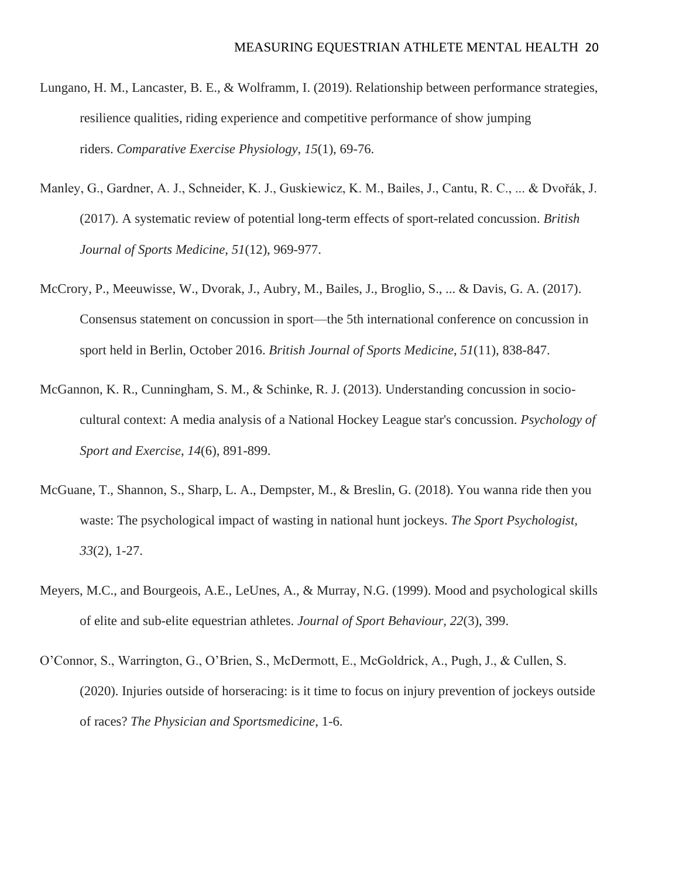- Lungano, H. M., Lancaster, B. E., & Wolframm, I. (2019). Relationship between performance strategies, resilience qualities, riding experience and competitive performance of show jumping riders. *Comparative Exercise Physiology*, *15*(1), 69-76.
- Manley, G., Gardner, A. J., Schneider, K. J., Guskiewicz, K. M., Bailes, J., Cantu, R. C., ... & Dvořák, J. (2017). A systematic review of potential long-term effects of sport-related concussion. *British Journal of Sports Medicine*, *51*(12), 969-977.
- McCrory, P., Meeuwisse, W., Dvorak, J., Aubry, M., Bailes, J., Broglio, S., ... & Davis, G. A. (2017). Consensus statement on concussion in sport—the 5th international conference on concussion in sport held in Berlin, October 2016. *British Journal of Sports Medicine*, *51*(11), 838-847.
- McGannon, K. R., Cunningham, S. M., & Schinke, R. J. (2013). Understanding concussion in sociocultural context: A media analysis of a National Hockey League star's concussion. *Psychology of Sport and Exercise*, *14*(6), 891-899.
- McGuane, T., Shannon, S., Sharp, L. A., Dempster, M., & Breslin, G. (2018). You wanna ride then you waste: The psychological impact of wasting in national hunt jockeys. *The Sport Psychologist, 33*(2), 1-27.
- Meyers, M.C., and Bourgeois, A.E., LeUnes, A., & Murray, N.G. (1999). Mood and psychological skills of elite and sub-elite equestrian athletes. *Journal of Sport Behaviour, 22*(3), 399.
- O'Connor, S., Warrington, G., O'Brien, S., McDermott, E., McGoldrick, A., Pugh, J., & Cullen, S. (2020). Injuries outside of horseracing: is it time to focus on injury prevention of jockeys outside of races? *The Physician and Sportsmedicine*, 1-6.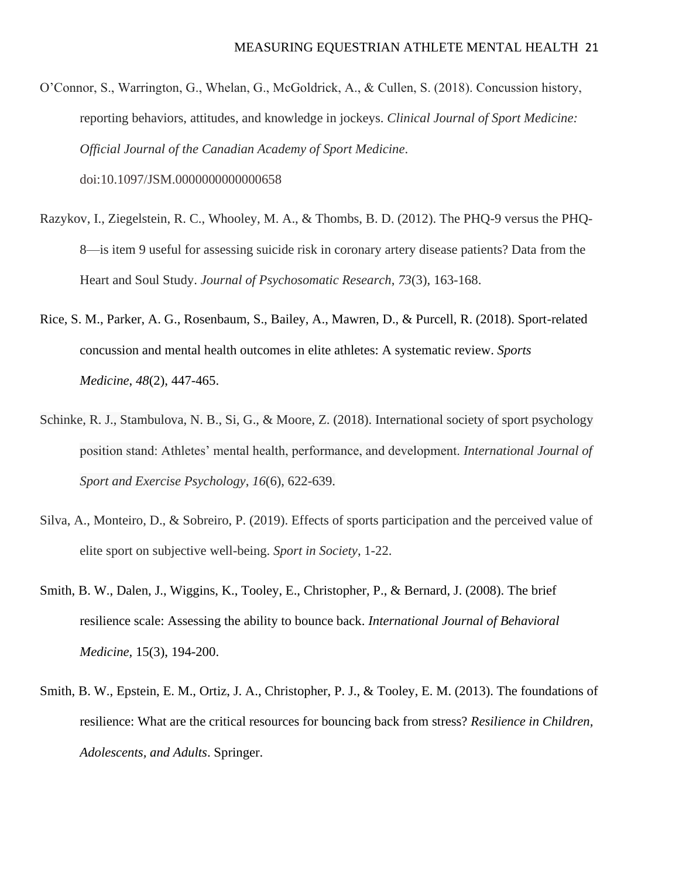- O'Connor, S., Warrington, G., Whelan, G., McGoldrick, A., & Cullen, S. (2018). Concussion history, reporting behaviors, attitudes, and knowledge in jockeys. *Clinical Journal of Sport Medicine: Official Journal of the Canadian Academy of Sport Medicine*. doi:10.1097/JSM.0000000000000658
- Razykov, I., Ziegelstein, R. C., Whooley, M. A., & Thombs, B. D. (2012). The PHQ-9 versus the PHQ-8—is item 9 useful for assessing suicide risk in coronary artery disease patients? Data from the Heart and Soul Study. *Journal of Psychosomatic Research*, *73*(3), 163-168.
- Rice, S. M., Parker, A. G., Rosenbaum, S., Bailey, A., Mawren, D., & Purcell, R. (2018). Sport-related concussion and mental health outcomes in elite athletes: A systematic review. *Sports Medicine*, *48*(2), 447-465.
- Schinke, R. J., Stambulova, N. B., Si, G., & Moore, Z. (2018). International society of sport psychology position stand: Athletes' mental health, performance, and development. *International Journal of Sport and Exercise Psychology*, *16*(6), 622-639.
- Silva, A., Monteiro, D., & Sobreiro, P. (2019). Effects of sports participation and the perceived value of elite sport on subjective well-being. *Sport in Society*, 1-22.
- Smith, B. W., Dalen, J., Wiggins, K., Tooley, E., Christopher, P., & Bernard, J. (2008). The brief resilience scale: Assessing the ability to bounce back. *International Journal of Behavioral Medicine,* 15(3), 194-200.
- Smith, B. W., Epstein, E. M., Ortiz, J. A., Christopher, P. J., & Tooley, E. M. (2013). The foundations of resilience: What are the critical resources for bouncing back from stress? *Resilience in Children, Adolescents, and Adults*. Springer.